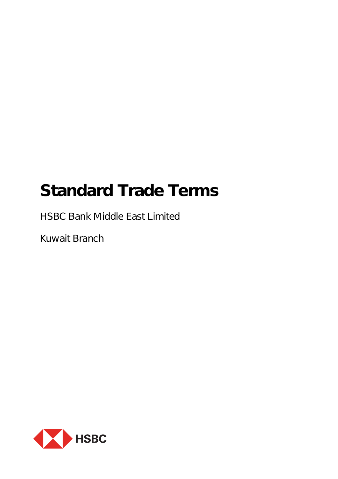# **Standard Trade Terms**

HSBC Bank Middle East Limited

Kuwait Branch

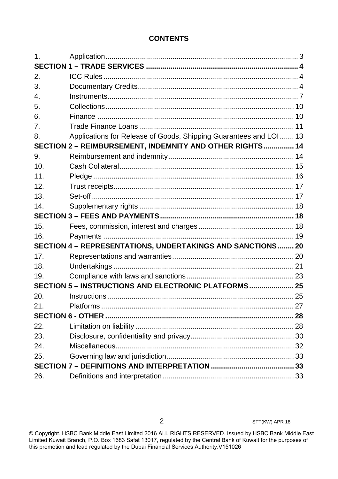# **CONTENTS**

| 1.              |                                                                    |  |
|-----------------|--------------------------------------------------------------------|--|
|                 |                                                                    |  |
| 2.              |                                                                    |  |
| 3.              |                                                                    |  |
| 4.              |                                                                    |  |
| 5.              |                                                                    |  |
| 6.              |                                                                    |  |
| 7.              |                                                                    |  |
| 8.              | Applications for Release of Goods, Shipping Guarantees and LOI  13 |  |
|                 | SECTION 2 - REIMBURSEMENT, INDEMNITY AND OTHER RIGHTS 14           |  |
| 9.              |                                                                    |  |
| 10 <sub>1</sub> |                                                                    |  |
| 11.             |                                                                    |  |
| 12.             |                                                                    |  |
| 13.             |                                                                    |  |
| 14.             |                                                                    |  |
|                 |                                                                    |  |
| 15.             |                                                                    |  |
| 16.             |                                                                    |  |
|                 | SECTION 4 - REPRESENTATIONS, UNDERTAKINGS AND SANCTIONS 20         |  |
| 17 <sub>1</sub> |                                                                    |  |
| 18.             |                                                                    |  |
| 19.             |                                                                    |  |
|                 | SECTION 5 - INSTRUCTIONS AND ELECTRONIC PLATFORMS 25               |  |
| 20.             |                                                                    |  |
| 21.             |                                                                    |  |
|                 |                                                                    |  |
| 22.             |                                                                    |  |
| 23.             |                                                                    |  |
| 24.             |                                                                    |  |
| 25.             |                                                                    |  |
|                 |                                                                    |  |
| 26.             |                                                                    |  |

<span id="page-1-0"></span>© Copyright. HSBC Bank Middle East Limited 2016 ALL RIGHTS RESERVED. Issued by HSBC Bank Middle East Limited Kuwait Branch, P.O. Box 1683 Safat 13017, regulated by the Central Bank of Kuwait for the purposes of this promotion and lead regulated by the Dubai Financial Services Authority.V151026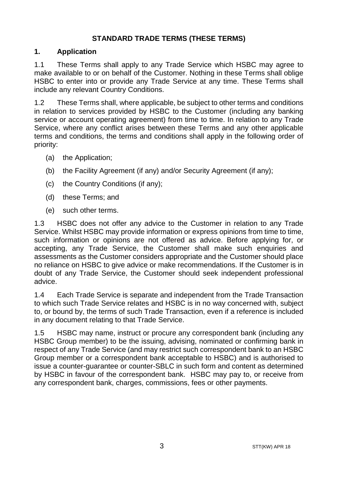# **STANDARD TRADE TERMS (THESE TERMS)**

# **1. Application**

1.1 These Terms shall apply to any Trade Service which HSBC may agree to make available to or on behalf of the Customer. Nothing in these Terms shall oblige HSBC to enter into or provide any Trade Service at any time. These Terms shall include any relevant Country Conditions.

1.2 These Terms shall, where applicable, be subject to other terms and conditions in relation to services provided by HSBC to the Customer (including any banking service or account operating agreement) from time to time. In relation to any Trade Service, where any conflict arises between these Terms and any other applicable terms and conditions, the terms and conditions shall apply in the following order of priority:

- (a) the Application;
- (b) the Facility Agreement (if any) and/or Security Agreement (if any);
- (c) the Country Conditions (if any);
- (d) these Terms; and
- (e) such other terms.

1.3 HSBC does not offer any advice to the Customer in relation to any Trade Service. Whilst HSBC may provide information or express opinions from time to time, such information or opinions are not offered as advice. Before applying for, or accepting, any Trade Service, the Customer shall make such enquiries and assessments as the Customer considers appropriate and the Customer should place no reliance on HSBC to give advice or make recommendations. If the Customer is in doubt of any Trade Service, the Customer should seek independent professional advice.

1.4 Each Trade Service is separate and independent from the Trade Transaction to which such Trade Service relates and HSBC is in no way concerned with, subject to, or bound by, the terms of such Trade Transaction, even if a reference is included in any document relating to that Trade Service.

1.5 HSBC may name, instruct or procure any correspondent bank (including any HSBC Group member) to be the issuing, advising, nominated or confirming bank in respect of any Trade Service (and may restrict such correspondent bank to an HSBC Group member or a correspondent bank acceptable to HSBC) and is authorised to issue a counter-guarantee or counter-SBLC in such form and content as determined by HSBC in favour of the correspondent bank. HSBC may pay to, or receive from any correspondent bank, charges, commissions, fees or other payments.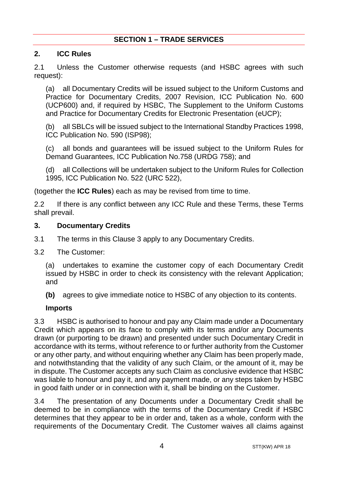# **SECTION 1 – TRADE SERVICES**

## <span id="page-3-1"></span><span id="page-3-0"></span>**2. ICC Rules**

2.1 Unless the Customer otherwise requests (and HSBC agrees with such request):

(a) all Documentary Credits will be issued subject to the Uniform Customs and Practice for Documentary Credits, 2007 Revision, ICC Publication No. 600 (UCP600) and, if required by HSBC, The Supplement to the Uniform Customs and Practice for Documentary Credits for Electronic Presentation (eUCP);

(b) all SBLCs will be issued subject to the International Standby Practices 1998, ICC Publication No. 590 (ISP98);

(c) all bonds and guarantees will be issued subject to the Uniform Rules for Demand Guarantees, ICC Publication No.758 (URDG 758); and

(d) all Collections will be undertaken subject to the Uniform Rules for Collection 1995, ICC Publication No. 522 (URC 522),

(together the **ICC Rules**) each as may be revised from time to time.

2.2 If there is any conflict between any ICC Rule and these Terms, these Terms shall prevail.

#### <span id="page-3-2"></span>**3. Documentary Credits**

- 3.1 The terms in this Clause [3](#page-3-2) apply to any Documentary Credits.
- 3.2 The Customer:

(a) undertakes to examine the customer copy of each Documentary Credit issued by HSBC in order to check its consistency with the relevant Application; and

**(b)** agrees to give immediate notice to HSBC of any objection to its contents.

#### **Imports**

3.3 HSBC is authorised to honour and pay any Claim made under a Documentary Credit which appears on its face to comply with its terms and/or any Documents drawn (or purporting to be drawn) and presented under such Documentary Credit in accordance with its terms, without reference to or further authority from the Customer or any other party, and without enquiring whether any Claim has been properly made, and notwithstanding that the validity of any such Claim, or the amount of it, may be in dispute. The Customer accepts any such Claim as conclusive evidence that HSBC was liable to honour and pay it, and any payment made, or any steps taken by HSBC in good faith under or in connection with it, shall be binding on the Customer.

3.4 The presentation of any Documents under a Documentary Credit shall be deemed to be in compliance with the terms of the Documentary Credit if HSBC determines that they appear to be in order and, taken as a whole, conform with the requirements of the Documentary Credit. The Customer waives all claims against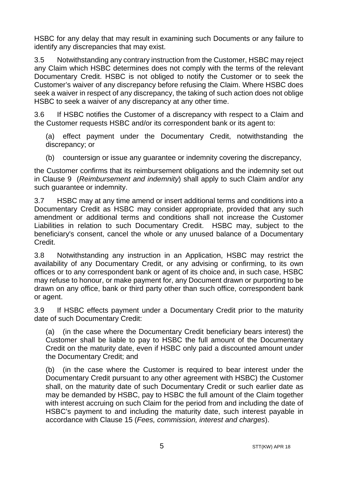HSBC for any delay that may result in examining such Documents or any failure to identify any discrepancies that may exist.

3.5 Notwithstanding any contrary instruction from the Customer, HSBC may reject any Claim which HSBC determines does not comply with the terms of the relevant Documentary Credit. HSBC is not obliged to notify the Customer or to seek the Customer's waiver of any discrepancy before refusing the Claim. Where HSBC does seek a waiver in respect of any discrepancy, the taking of such action does not oblige HSBC to seek a waiver of any discrepancy at any other time.

3.6 If HSBC notifies the Customer of a discrepancy with respect to a Claim and the Customer requests HSBC and/or its correspondent bank or its agent to:

(a) effect payment under the Documentary Credit, notwithstanding the discrepancy; or

(b) countersign or issue any guarantee or indemnity covering the discrepancy,

the Customer confirms that its reimbursement obligations and the indemnity set out in Clause [9](#page-13-1) (*[Reimbursement and indemnity](#page-13-1)*) shall apply to such Claim and/or any such guarantee or indemnity.

3.7 HSBC may at any time amend or insert additional terms and conditions into a Documentary Credit as HSBC may consider appropriate, provided that any such amendment or additional terms and conditions shall not increase the Customer Liabilities in relation to such Documentary Credit. HSBC may, subject to the beneficiary's consent, cancel the whole or any unused balance of a Documentary Credit.

3.8 Notwithstanding any instruction in an Application, HSBC may restrict the availability of any Documentary Credit, or any advising or confirming, to its own offices or to any correspondent bank or agent of its choice and, in such case, HSBC may refuse to honour, or make payment for, any Document drawn or purporting to be drawn on any office, bank or third party other than such office, correspondent bank or agent.

3.9 If HSBC effects payment under a Documentary Credit prior to the maturity date of such Documentary Credit:

(a) (in the case where the Documentary Credit beneficiary bears interest) the Customer shall be liable to pay to HSBC the full amount of the Documentary Credit on the maturity date, even if HSBC only paid a discounted amount under the Documentary Credit; and

(b) (in the case where the Customer is required to bear interest under the Documentary Credit pursuant to any other agreement with HSBC) the Customer shall, on the maturity date of such Documentary Credit or such earlier date as may be demanded by HSBC, pay to HSBC the full amount of the Claim together with interest accruing on such Claim for the period from and including the date of HSBC's payment to and including the maturity date, such interest payable in accordance with Clause [15](#page-17-2) (*[Fees, commission, interest and charges](#page-17-2)*).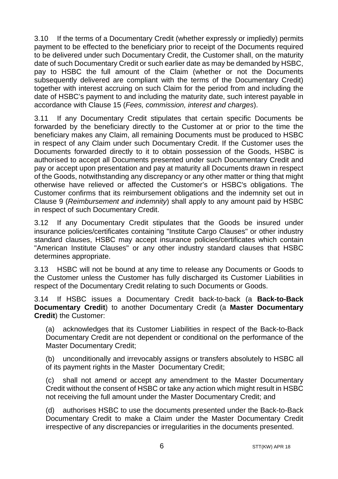3.10 If the terms of a Documentary Credit (whether expressly or impliedly) permits payment to be effected to the beneficiary prior to receipt of the Documents required to be delivered under such Documentary Credit, the Customer shall, on the maturity date of such Documentary Credit or such earlier date as may be demanded by HSBC, pay to HSBC the full amount of the Claim (whether or not the Documents subsequently delivered are compliant with the terms of the Documentary Credit) together with interest accruing on such Claim for the period from and including the date of HSBC's payment to and including the maturity date, such interest payable in accordance with Claus[e 15](#page-17-2) (*[Fees, commission, interest and charges](#page-17-2)*).

3.11 If any Documentary Credit stipulates that certain specific Documents be forwarded by the beneficiary directly to the Customer at or prior to the time the beneficiary makes any Claim, all remaining Documents must be produced to HSBC in respect of any Claim under such Documentary Credit. If the Customer uses the Documents forwarded directly to it to obtain possession of the Goods, HSBC is authorised to accept all Documents presented under such Documentary Credit and pay or accept upon presentation and pay at maturity all Documents drawn in respect of the Goods, notwithstanding any discrepancy or any other matter or thing that might otherwise have relieved or affected the Customer's or HSBC's obligations. The Customer confirms that its reimbursement obligations and the indemnity set out in Clause [9](#page-13-1) (*[Reimbursement and indemnity](#page-13-1)*) shall apply to any amount paid by HSBC in respect of such Documentary Credit.

3.12 If any Documentary Credit stipulates that the Goods be insured under insurance policies/certificates containing "Institute Cargo Clauses" or other industry standard clauses, HSBC may accept insurance policies/certificates which contain "American Institute Clauses" or any other industry standard clauses that HSBC determines appropriate.

3.13 HSBC will not be bound at any time to release any Documents or Goods to the Customer unless the Customer has fully discharged its Customer Liabilities in respect of the Documentary Credit relating to such Documents or Goods.

<span id="page-5-0"></span>3.14 If HSBC issues a Documentary Credit back-to-back (a **Back-to-Back Documentary Credit**) to another Documentary Credit (a **Master Documentary Credit**) the Customer:

(a) acknowledges that its Customer Liabilities in respect of the Back-to-Back Documentary Credit are not dependent or conditional on the performance of the Master Documentary Credit;

(b) unconditionally and irrevocably assigns or transfers absolutely to HSBC all of its payment rights in the Master Documentary Credit;

(c) shall not amend or accept any amendment to the Master Documentary Credit without the consent of HSBC or take any action which might result in HSBC not receiving the full amount under the Master Documentary Credit; and

(d) authorises HSBC to use the documents presented under the Back-to-Back Documentary Credit to make a Claim under the Master Documentary Credit irrespective of any discrepancies or irregularities in the documents presented.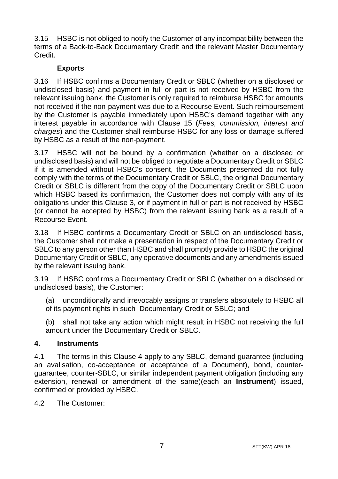3.15 HSBC is not obliged to notify the Customer of any incompatibility between the terms of a Back-to-Back Documentary Credit and the relevant Master Documentary Credit.

# **Exports**

3.16 If HSBC confirms a Documentary Credit or SBLC (whether on a disclosed or undisclosed basis) and payment in full or part is not received by HSBC from the relevant issuing bank, the Customer is only required to reimburse HSBC for amounts not received if the non-payment was due to a Recourse Event. Such reimbursement by the Customer is payable immediately upon HSBC's demand together with any interest payable in accordance with Clause [15](#page-17-2) (*[Fees, commission, interest and](#page-17-2)  [charges](#page-17-2)*) and the Customer shall reimburse HSBC for any loss or damage suffered by HSBC as a result of the non-payment.

3.17 HSBC will not be bound by a confirmation (whether on a disclosed or undisclosed basis) and will not be obliged to negotiate a Documentary Credit or SBLC if it is amended without HSBC's consent, the Documents presented do not fully comply with the terms of the Documentary Credit or SBLC, the original Documentary Credit or SBLC is different from the copy of the Documentary Credit or SBLC upon which HSBC based its confirmation, the Customer does not comply with any of its obligations under this Clause [3,](#page-3-2) or if payment in full or part is not received by HSBC (or cannot be accepted by HSBC) from the relevant issuing bank as a result of a Recourse Event.

3.18 If HSBC confirms a Documentary Credit or SBLC on an undisclosed basis, the Customer shall not make a presentation in respect of the Documentary Credit or SBLC to any person other than HSBC and shall promptly provide to HSBC the original Documentary Credit or SBLC, any operative documents and any amendments issued by the relevant issuing bank.

3.19 If HSBC confirms a Documentary Credit or SBLC (whether on a disclosed or undisclosed basis), the Customer:

(a) unconditionally and irrevocably assigns or transfers absolutely to HSBC all of its payment rights in such Documentary Credit or SBLC; and

(b) shall not take any action which might result in HSBC not receiving the full amount under the Documentary Credit or SBLC.

# <span id="page-6-0"></span>**4. Instruments**

4.1 The terms in this Clause [4](#page-6-0) apply to any SBLC, demand guarantee (including an avalisation, co-acceptance or acceptance of a Document), bond, counterguarantee, counter-SBLC, or similar independent payment obligation (including any extension, renewal or amendment of the same)(each an **Instrument**) issued, confirmed or provided by HSBC.

4.2 The Customer: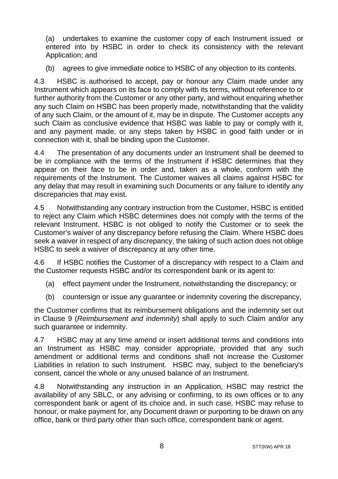(a) undertakes to examine the customer copy of each Instrument issued or entered into by HSBC in order to check its consistency with the relevant Application; and

(b) agrees to give immediate notice to HSBC of any objection to its contents.

4.3 HSBC is authorised to accept, pay or honour any Claim made under any Instrument which appears on its face to comply with its terms, without reference to or further authority from the Customer or any other party, and without enquiring whether any such Claim on HSBC has been properly made, notwithstanding that the validity of any such Claim, or the amount of it, may be in dispute. The Customer accepts any such Claim as conclusive evidence that HSBC was liable to pay or comply with it, and any payment made, or any steps taken by HSBC in good faith under or in connection with it, shall be binding upon the Customer.

4.4 The presentation of any documents under an Instrument shall be deemed to be in compliance with the terms of the Instrument if HSBC determines that they appear on their face to be in order and, taken as a whole, conform with the requirements of the Instrument. The Customer waives all claims against HSBC for any delay that may result in examining such Documents or any failure to identify any discrepancies that may exist.

4.5 Notwithstanding any contrary instruction from the Customer, HSBC is entitled to reject any Claim which HSBC determines does not comply with the terms of the relevant Instrument. HSBC is not obliged to notify the Customer or to seek the Customer's waiver of any discrepancy before refusing the Claim. Where HSBC does seek a waiver in respect of any discrepancy, the taking of such action does not oblige HSBC to seek a waiver of discrepancy at any other time.

4.6 If HSBC notifies the Customer of a discrepancy with respect to a Claim and the Customer requests HSBC and/or its correspondent bank or its agent to:

- (a) effect payment under the Instrument, notwithstanding the discrepancy; or
- (b) countersign or issue any guarantee or indemnity covering the discrepancy,

the Customer confirms that its reimbursement obligations and the indemnity set out in Clause [9](#page-13-1) (*[Reimbursement and indemnity](#page-13-1)*) shall apply to such Claim and/or any such guarantee or indemnity.

4.7 HSBC may at any time amend or insert additional terms and conditions into an Instrument as HSBC may consider appropriate, provided that any such amendment or additional terms and conditions shall not increase the Customer Liabilities in relation to such Instrument. HSBC may, subject to the beneficiary's consent, cancel the whole or any unused balance of an Instrument.

4.8 Notwithstanding any instruction in an Application, HSBC may restrict the availability of any SBLC, or any advising or confirming, to its own offices or to any correspondent bank or agent of its choice and, in such case, HSBC may refuse to honour, or make payment for, any Document drawn or purporting to be drawn on any office, bank or third party other than such office, correspondent bank or agent.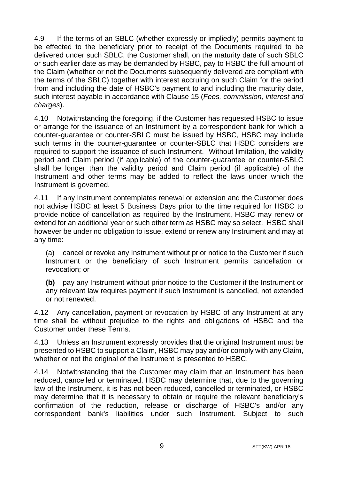4.9 If the terms of an SBLC (whether expressly or impliedly) permits payment to be effected to the beneficiary prior to receipt of the Documents required to be delivered under such SBLC, the Customer shall, on the maturity date of such SBLC or such earlier date as may be demanded by HSBC, pay to HSBC the full amount of the Claim (whether or not the Documents subsequently delivered are compliant with the terms of the SBLC) together with interest accruing on such Claim for the period from and including the date of HSBC's payment to and including the maturity date, such interest payable in accordance with Clause [15](#page-17-2) (*[Fees, commission, interest and](#page-17-2)  [charges](#page-17-2)*).

4.10 Notwithstanding the foregoing, if the Customer has requested HSBC to issue or arrange for the issuance of an Instrument by a correspondent bank for which a counter-guarantee or counter-SBLC must be issued by HSBC, HSBC may include such terms in the counter-guarantee or counter-SBLC that HSBC considers are required to support the issuance of such Instrument. Without limitation, the validity period and Claim period (if applicable) of the counter-guarantee or counter-SBLC shall be longer than the validity period and Claim period (if applicable) of the Instrument and other terms may be added to reflect the laws under which the Instrument is governed.

4.11 If any Instrument contemplates renewal or extension and the Customer does not advise HSBC at least 5 Business Days prior to the time required for HSBC to provide notice of cancellation as required by the Instrument, HSBC may renew or extend for an additional year or such other term as HSBC may so select. HSBC shall however be under no obligation to issue, extend or renew any Instrument and may at any time:

(a) cancel or revoke any Instrument without prior notice to the Customer if such Instrument or the beneficiary of such Instrument permits cancellation or revocation; or

**(b)** pay any Instrument without prior notice to the Customer if the Instrument or any relevant law requires payment if such Instrument is cancelled, not extended or not renewed.

4.12 Any cancellation, payment or revocation by HSBC of any Instrument at any time shall be without prejudice to the rights and obligations of HSBC and the Customer under these Terms.

4.13 Unless an Instrument expressly provides that the original Instrument must be presented to HSBC to support a Claim, HSBC may pay and/or comply with any Claim, whether or not the original of the Instrument is presented to HSBC.

4.14 Notwithstanding that the Customer may claim that an Instrument has been reduced, cancelled or terminated, HSBC may determine that, due to the governing law of the Instrument, it is has not been reduced, cancelled or terminated, or HSBC may determine that it is necessary to obtain or require the relevant beneficiary's confirmation of the reduction, release or discharge of HSBC's and/or any correspondent bank's liabilities under such Instrument. Subject to such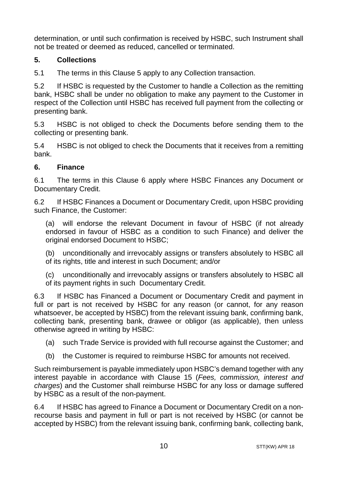determination, or until such confirmation is received by HSBC, such Instrument shall not be treated or deemed as reduced, cancelled or terminated.

# <span id="page-9-0"></span>**5. Collections**

5.1 The terms in this Clause [5](#page-9-0) apply to any Collection transaction.

5.2 If HSBC is requested by the Customer to handle a Collection as the remitting bank, HSBC shall be under no obligation to make any payment to the Customer in respect of the Collection until HSBC has received full payment from the collecting or presenting bank.

5.3 HSBC is not obliged to check the Documents before sending them to the collecting or presenting bank.

5.4 HSBC is not obliged to check the Documents that it receives from a remitting bank.

## <span id="page-9-1"></span>**6. Finance**

6.1 The terms in this Clause [6](#page-9-1) apply where HSBC Finances any Document or Documentary Credit.

6.2 If HSBC Finances a Document or Documentary Credit, upon HSBC providing such Finance, the Customer:

(a) will endorse the relevant Document in favour of HSBC (if not already endorsed in favour of HSBC as a condition to such Finance) and deliver the original endorsed Document to HSBC;

(b) unconditionally and irrevocably assigns or transfers absolutely to HSBC all of its rights, title and interest in such Document; and/or

(c) unconditionally and irrevocably assigns or transfers absolutely to HSBC all of its payment rights in such Documentary Credit.

6.3 If HSBC has Financed a Document or Documentary Credit and payment in full or part is not received by HSBC for any reason (or cannot, for any reason whatsoever, be accepted by HSBC) from the relevant issuing bank, confirming bank, collecting bank, presenting bank, drawee or obligor (as applicable), then unless otherwise agreed in writing by HSBC:

- (a) such Trade Service is provided with full recourse against the Customer; and
- (b) the Customer is required to reimburse HSBC for amounts not received.

Such reimbursement is payable immediately upon HSBC's demand together with any interest payable in accordance with Clause [15](#page-17-2) (*[Fees, commission, interest and](#page-17-2)  [charges](#page-17-2)*) and the Customer shall reimburse HSBC for any loss or damage suffered by HSBC as a result of the non-payment.

6.4 If HSBC has agreed to Finance a Document or Documentary Credit on a nonrecourse basis and payment in full or part is not received by HSBC (or cannot be accepted by HSBC) from the relevant issuing bank, confirming bank, collecting bank,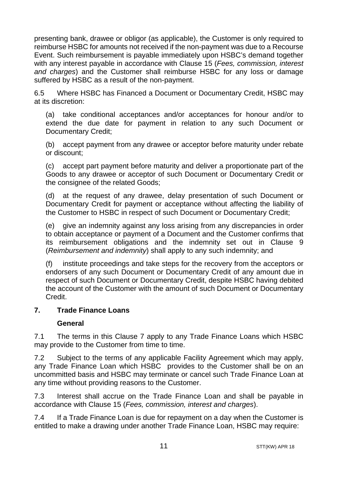presenting bank, drawee or obligor (as applicable), the Customer is only required to reimburse HSBC for amounts not received if the non-payment was due to a Recourse Event. Such reimbursement is payable immediately upon HSBC's demand together with any interest payable in accordance with Clause [15](#page-17-2) (*[Fees, commission, interest](#page-17-2)  [and charges](#page-17-2)*) and the Customer shall reimburse HSBC for any loss or damage suffered by HSBC as a result of the non-payment.

6.5 Where HSBC has Financed a Document or Documentary Credit, HSBC may at its discretion:

(a) take conditional acceptances and/or acceptances for honour and/or to extend the due date for payment in relation to any such Document or Documentary Credit;

(b) accept payment from any drawee or acceptor before maturity under rebate or discount;

(c) accept part payment before maturity and deliver a proportionate part of the Goods to any drawee or acceptor of such Document or Documentary Credit or the consignee of the related Goods;

(d) at the request of any drawee, delay presentation of such Document or Documentary Credit for payment or acceptance without affecting the liability of the Customer to HSBC in respect of such Document or Documentary Credit;

(e) give an indemnity against any loss arising from any discrepancies in order to obtain acceptance or payment of a Document and the Customer confirms that its reimbursement obligations and the indemnity set out in Clause [9](#page-13-1) (*[Reimbursement and indemnity](#page-13-1)*) shall apply to any such indemnity; and

(f) institute proceedings and take steps for the recovery from the acceptors or endorsers of any such Document or Documentary Credit of any amount due in respect of such Document or Documentary Credit, despite HSBC having debited the account of the Customer with the amount of such Document or Documentary Credit.

#### <span id="page-10-0"></span>**7. Trade Finance Loans**

#### **General**

7.1 The terms in this Clause [7](#page-10-0) apply to any Trade Finance Loans which HSBC may provide to the Customer from time to time.

7.2 Subject to the terms of any applicable Facility Agreement which may apply, any Trade Finance Loan which HSBC provides to the Customer shall be on an uncommitted basis and HSBC may terminate or cancel such Trade Finance Loan at any time without providing reasons to the Customer.

7.3 Interest shall accrue on the Trade Finance Loan and shall be payable in accordance with Claus[e 15](#page-17-2) (*[Fees, commission, interest and charges](#page-17-2)*).

7.4 If a Trade Finance Loan is due for repayment on a day when the Customer is entitled to make a drawing under another Trade Finance Loan, HSBC may require: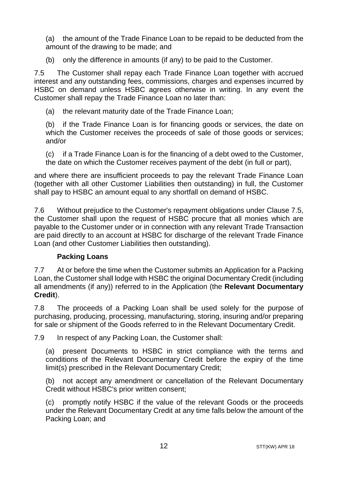(a) the amount of the Trade Finance Loan to be repaid to be deducted from the amount of the drawing to be made; and

(b) only the difference in amounts (if any) to be paid to the Customer.

<span id="page-11-0"></span>7.5 The Customer shall repay each Trade Finance Loan together with accrued interest and any outstanding fees, commissions, charges and expenses incurred by HSBC on demand unless HSBC agrees otherwise in writing. In any event the Customer shall repay the Trade Finance Loan no later than:

(a) the relevant maturity date of the Trade Finance Loan;

(b) if the Trade Finance Loan is for financing goods or services, the date on which the Customer receives the proceeds of sale of those goods or services; and/or

(c) if a Trade Finance Loan is for the financing of a debt owed to the Customer, the date on which the Customer receives payment of the debt (in full or part),

and where there are insufficient proceeds to pay the relevant Trade Finance Loan (together with all other Customer Liabilities then outstanding) in full, the Customer shall pay to HSBC an amount equal to any shortfall on demand of HSBC.

7.6 Without prejudice to the Customer's repayment obligations under Clause [7.5,](#page-11-0)  the Customer shall upon the request of HSBC procure that all monies which are payable to the Customer under or in connection with any relevant Trade Transaction are paid directly to an account at HSBC for discharge of the relevant Trade Finance Loan (and other Customer Liabilities then outstanding).

#### **Packing Loans**

7.7 At or before the time when the Customer submits an Application for a Packing Loan, the Customer shall lodge with HSBC the original Documentary Credit (including all amendments (if any)) referred to in the Application (the **Relevant Documentary Credit**).

7.8 The proceeds of a Packing Loan shall be used solely for the purpose of purchasing, producing, processing, manufacturing, storing, insuring and/or preparing for sale or shipment of the Goods referred to in the Relevant Documentary Credit.

7.9 In respect of any Packing Loan, the Customer shall:

(a) present Documents to HSBC in strict compliance with the terms and conditions of the Relevant Documentary Credit before the expiry of the time limit(s) prescribed in the Relevant Documentary Credit;

(b) not accept any amendment or cancellation of the Relevant Documentary Credit without HSBC's prior written consent;

(c) promptly notify HSBC if the value of the relevant Goods or the proceeds under the Relevant Documentary Credit at any time falls below the amount of the Packing Loan; and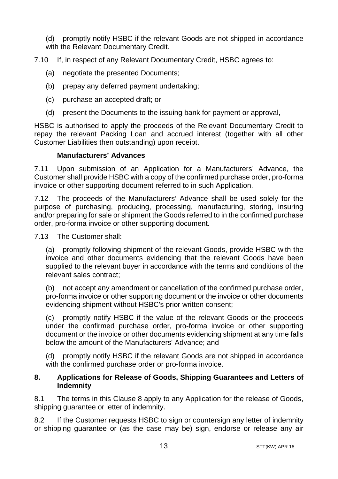(d) promptly notify HSBC if the relevant Goods are not shipped in accordance with the Relevant Documentary Credit.

7.10 If, in respect of any Relevant Documentary Credit, HSBC agrees to:

- (a) negotiate the presented Documents;
- (b) prepay any deferred payment undertaking;
- (c) purchase an accepted draft; or
- (d) present the Documents to the issuing bank for payment or approval,

HSBC is authorised to apply the proceeds of the Relevant Documentary Credit to repay the relevant Packing Loan and accrued interest (together with all other Customer Liabilities then outstanding) upon receipt.

#### **Manufacturers' Advances**

7.11 Upon submission of an Application for a Manufacturers' Advance, the Customer shall provide HSBC with a copy of the confirmed purchase order, pro-forma invoice or other supporting document referred to in such Application.

7.12 The proceeds of the Manufacturers' Advance shall be used solely for the purpose of purchasing, producing, processing, manufacturing, storing, insuring and/or preparing for sale or shipment the Goods referred to in the confirmed purchase order, pro-forma invoice or other supporting document.

7.13 The Customer shall:

(a) promptly following shipment of the relevant Goods, provide HSBC with the invoice and other documents evidencing that the relevant Goods have been supplied to the relevant buyer in accordance with the terms and conditions of the relevant sales contract;

(b) not accept any amendment or cancellation of the confirmed purchase order, pro-forma invoice or other supporting document or the invoice or other documents evidencing shipment without HSBC's prior written consent;

(c) promptly notify HSBC if the value of the relevant Goods or the proceeds under the confirmed purchase order, pro-forma invoice or other supporting document or the invoice or other documents evidencing shipment at any time falls below the amount of the Manufacturers' Advance; and

(d) promptly notify HSBC if the relevant Goods are not shipped in accordance with the confirmed purchase order or pro-forma invoice.

#### <span id="page-12-0"></span>**8. Applications for Release of Goods, Shipping Guarantees and Letters of Indemnity**

8.1 The terms in this Clause [8](#page-12-0) apply to any Application for the release of Goods, shipping guarantee or letter of indemnity.

8.2 If the Customer requests HSBC to sign or countersign any letter of indemnity or shipping guarantee or (as the case may be) sign, endorse or release any air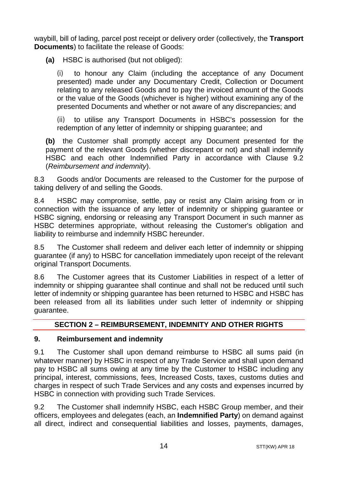waybill, bill of lading, parcel post receipt or delivery order (collectively, the **Transport Documents**) to facilitate the release of Goods:

**(a)** HSBC is authorised (but not obliged):

(i) to honour any Claim (including the acceptance of any Document presented) made under any Documentary Credit, Collection or Document relating to any released Goods and to pay the invoiced amount of the Goods or the value of the Goods (whichever is higher) without examining any of the presented Documents and whether or not aware of any discrepancies; and

(ii) to utilise any Transport Documents in HSBC's possession for the redemption of any letter of indemnity or shipping guarantee; and

**(b)** the Customer shall promptly accept any Document presented for the payment of the relevant Goods (whether discrepant or not) and shall indemnify HSBC and each other Indemnified Party in accordance with Clause [9.2](#page-13-2) (*[Reimbursement and indemnity](#page-13-1)*).

8.3 Goods and/or Documents are released to the Customer for the purpose of taking delivery of and selling the Goods.

8.4 HSBC may compromise, settle, pay or resist any Claim arising from or in connection with the issuance of any letter of indemnity or shipping guarantee or HSBC signing, endorsing or releasing any Transport Document in such manner as HSBC determines appropriate, without releasing the Customer's obligation and liability to reimburse and indemnify HSBC hereunder.

8.5 The Customer shall redeem and deliver each letter of indemnity or shipping guarantee (if any) to HSBC for cancellation immediately upon receipt of the relevant original Transport Documents.

8.6 The Customer agrees that its Customer Liabilities in respect of a letter of indemnity or shipping guarantee shall continue and shall not be reduced until such letter of indemnity or shipping guarantee has been returned to HSBC and HSBC has been released from all its liabilities under such letter of indemnity or shipping guarantee.

# **SECTION 2 – REIMBURSEMENT, INDEMNITY AND OTHER RIGHTS**

# <span id="page-13-1"></span><span id="page-13-0"></span>**9. Reimbursement and indemnity**

9.1 The Customer shall upon demand reimburse to HSBC all sums paid (in whatever manner) by HSBC in respect of any Trade Service and shall upon demand pay to HSBC all sums owing at any time by the Customer to HSBC including any principal, interest, commissions, fees, Increased Costs, taxes, customs duties and charges in respect of such Trade Services and any costs and expenses incurred by HSBC in connection with providing such Trade Services.

<span id="page-13-2"></span>9.2 The Customer shall indemnify HSBC, each HSBC Group member, and their officers, employees and delegates (each, an **Indemnified Party**) on demand against all direct, indirect and consequential liabilities and losses, payments, damages,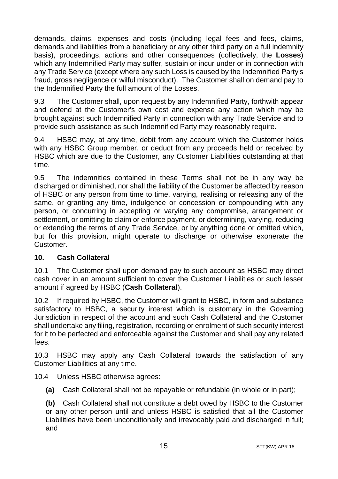demands, claims, expenses and costs (including legal fees and fees, claims, demands and liabilities from a beneficiary or any other third party on a full indemnity basis), proceedings, actions and other consequences (collectively, the **Losses**) which any Indemnified Party may suffer, sustain or incur under or in connection with any Trade Service (except where any such Loss is caused by the Indemnified Party's fraud, gross negligence or wilful misconduct). The Customer shall on demand pay to the Indemnified Party the full amount of the Losses.

9.3 The Customer shall, upon request by any Indemnified Party, forthwith appear and defend at the Customer's own cost and expense any action which may be brought against such Indemnified Party in connection with any Trade Service and to provide such assistance as such Indemnified Party may reasonably require.

9.4 HSBC may, at any time, debit from any account which the Customer holds with any HSBC Group member, or deduct from any proceeds held or received by HSBC which are due to the Customer, any Customer Liabilities outstanding at that time.

9.5 The indemnities contained in these Terms shall not be in any way be discharged or diminished, nor shall the liability of the Customer be affected by reason of HSBC or any person from time to time, varying, realising or releasing any of the same, or granting any time, indulgence or concession or compounding with any person, or concurring in accepting or varying any compromise, arrangement or settlement, or omitting to claim or enforce payment, or determining, varying, reducing or extending the terms of any Trade Service, or by anything done or omitted which, but for this provision, might operate to discharge or otherwise exonerate the Customer.

# <span id="page-14-0"></span>**10. Cash Collateral**

10.1 The Customer shall upon demand pay to such account as HSBC may direct cash cover in an amount sufficient to cover the Customer Liabilities or such lesser amount if agreed by HSBC (**Cash Collateral**).

10.2 If required by HSBC, the Customer will grant to HSBC, in form and substance satisfactory to HSBC, a security interest which is customary in the Governing Jurisdiction in respect of the account and such Cash Collateral and the Customer shall undertake any filing, registration, recording or enrolment of such security interest for it to be perfected and enforceable against the Customer and shall pay any related fees.

10.3 HSBC may apply any Cash Collateral towards the satisfaction of any Customer Liabilities at any time.

# 10.4 Unless HSBC otherwise agrees:

**(a)** Cash Collateral shall not be repayable or refundable (in whole or in part);

**(b)** Cash Collateral shall not constitute a debt owed by HSBC to the Customer or any other person until and unless HSBC is satisfied that all the Customer Liabilities have been unconditionally and irrevocably paid and discharged in full; and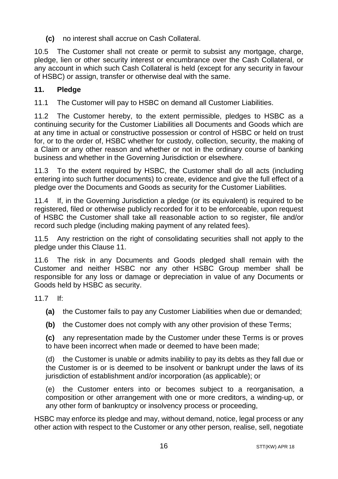**(c)** no interest shall accrue on Cash Collateral.

10.5 The Customer shall not create or permit to subsist any mortgage, charge, pledge, lien or other security interest or encumbrance over the Cash Collateral, or any account in which such Cash Collateral is held (except for any security in favour of HSBC) or assign, transfer or otherwise deal with the same.

# <span id="page-15-0"></span>**11. Pledge**

11.1 The Customer will pay to HSBC on demand all Customer Liabilities.

11.2 The Customer hereby, to the extent permissible, pledges to HSBC as a continuing security for the Customer Liabilities all Documents and Goods which are at any time in actual or constructive possession or control of HSBC or held on trust for, or to the order of, HSBC whether for custody, collection, security, the making of a Claim or any other reason and whether or not in the ordinary course of banking business and whether in the Governing Jurisdiction or elsewhere.

11.3 To the extent required by HSBC, the Customer shall do all acts (including entering into such further documents) to create, evidence and give the full effect of a pledge over the Documents and Goods as security for the Customer Liabilities.

11.4 If, in the Governing Jurisdiction a pledge (or its equivalent) is required to be registered, filed or otherwise publicly recorded for it to be enforceable, upon request of HSBC the Customer shall take all reasonable action to so register, file and/or record such pledge (including making payment of any related fees).

11.5 Any restriction on the right of consolidating securities shall not apply to the pledge under this Claus[e 11.](#page-15-0)

11.6 The risk in any Documents and Goods pledged shall remain with the Customer and neither HSBC nor any other HSBC Group member shall be responsible for any loss or damage or depreciation in value of any Documents or Goods held by HSBC as security.

11.7 If:

- **(a)** the Customer fails to pay any Customer Liabilities when due or demanded;
- **(b)** the Customer does not comply with any other provision of these Terms;

**(c)** any representation made by the Customer under these Terms is or proves to have been incorrect when made or deemed to have been made;

(d) the Customer is unable or admits inability to pay its debts as they fall due or the Customer is or is deemed to be insolvent or bankrupt under the laws of its jurisdiction of establishment and/or incorporation (as applicable); or

(e) the Customer enters into or becomes subject to a reorganisation, a composition or other arrangement with one or more creditors, a winding-up, or any other form of bankruptcy or insolvency process or proceeding,

HSBC may enforce its pledge and may, without demand, notice, legal process or any other action with respect to the Customer or any other person, realise, sell, negotiate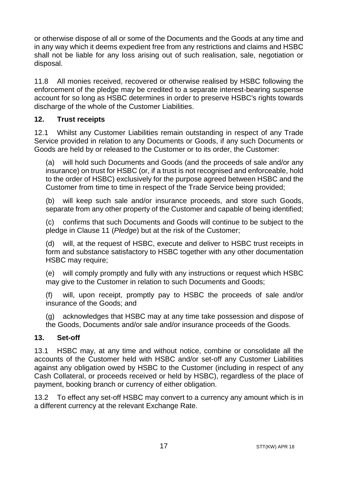or otherwise dispose of all or some of the Documents and the Goods at any time and in any way which it deems expedient free from any restrictions and claims and HSBC shall not be liable for any loss arising out of such realisation, sale, negotiation or disposal.

11.8 All monies received, recovered or otherwise realised by HSBC following the enforcement of the pledge may be credited to a separate interest-bearing suspense account for so long as HSBC determines in order to preserve HSBC's rights towards discharge of the whole of the Customer Liabilities.

# <span id="page-16-0"></span>**12. Trust receipts**

12.1 Whilst any Customer Liabilities remain outstanding in respect of any Trade Service provided in relation to any Documents or Goods, if any such Documents or Goods are held by or released to the Customer or to its order, the Customer:

(a) will hold such Documents and Goods (and the proceeds of sale and/or any insurance) on trust for HSBC (or, if a trust is not recognised and enforceable, hold to the order of HSBC) exclusively for the purpose agreed between HSBC and the Customer from time to time in respect of the Trade Service being provided;

(b) will keep such sale and/or insurance proceeds, and store such Goods, separate from any other property of the Customer and capable of being identified;

(c) confirms that such Documents and Goods will continue to be subject to the pledge in Clause [11](#page-15-0) (*[Pledge](#page-15-0)*) but at the risk of the Customer;

(d) will, at the request of HSBC, execute and deliver to HSBC trust receipts in form and substance satisfactory to HSBC together with any other documentation HSBC may require;

(e) will comply promptly and fully with any instructions or request which HSBC may give to the Customer in relation to such Documents and Goods;

(f) will, upon receipt, promptly pay to HSBC the proceeds of sale and/or insurance of the Goods; and

(g) acknowledges that HSBC may at any time take possession and dispose of the Goods, Documents and/or sale and/or insurance proceeds of the Goods.

# <span id="page-16-1"></span>**13. Set-off**

13.1 HSBC may, at any time and without notice, combine or consolidate all the accounts of the Customer held with HSBC and/or set-off any Customer Liabilities against any obligation owed by HSBC to the Customer (including in respect of any Cash Collateral, or proceeds received or held by HSBC), regardless of the place of payment, booking branch or currency of either obligation.

13.2 To effect any set-off HSBC may convert to a currency any amount which is in a different currency at the relevant Exchange Rate.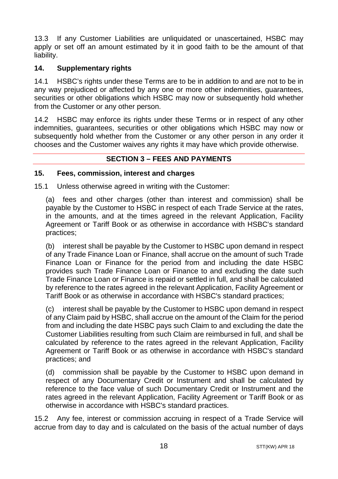13.3 If any Customer Liabilities are unliquidated or unascertained, HSBC may apply or set off an amount estimated by it in good faith to be the amount of that liability.

# <span id="page-17-0"></span>**14. Supplementary rights**

14.1 HSBC's rights under these Terms are to be in addition to and are not to be in any way prejudiced or affected by any one or more other indemnities, guarantees, securities or other obligations which HSBC may now or subsequently hold whether from the Customer or any other person.

14.2 HSBC may enforce its rights under these Terms or in respect of any other indemnities, guarantees, securities or other obligations which HSBC may now or subsequently hold whether from the Customer or any other person in any order it chooses and the Customer waives any rights it may have which provide otherwise.

# **SECTION 3 – FEES AND PAYMENTS**

#### <span id="page-17-2"></span><span id="page-17-1"></span>**15. Fees, commission, interest and charges**

15.1 Unless otherwise agreed in writing with the Customer:

(a) fees and other charges (other than interest and commission) shall be payable by the Customer to HSBC in respect of each Trade Service at the rates, in the amounts, and at the times agreed in the relevant Application, Facility Agreement or Tariff Book or as otherwise in accordance with HSBC's standard practices;

(b) interest shall be payable by the Customer to HSBC upon demand in respect of any Trade Finance Loan or Finance, shall accrue on the amount of such Trade Finance Loan or Finance for the period from and including the date HSBC provides such Trade Finance Loan or Finance to and excluding the date such Trade Finance Loan or Finance is repaid or settled in full, and shall be calculated by reference to the rates agreed in the relevant Application, Facility Agreement or Tariff Book or as otherwise in accordance with HSBC's standard practices;

(c) interest shall be payable by the Customer to HSBC upon demand in respect of any Claim paid by HSBC, shall accrue on the amount of the Claim for the period from and including the date HSBC pays such Claim to and excluding the date the Customer Liabilities resulting from such Claim are reimbursed in full, and shall be calculated by reference to the rates agreed in the relevant Application, Facility Agreement or Tariff Book or as otherwise in accordance with HSBC's standard practices; and

(d) commission shall be payable by the Customer to HSBC upon demand in respect of any Documentary Credit or Instrument and shall be calculated by reference to the face value of such Documentary Credit or Instrument and the rates agreed in the relevant Application, Facility Agreement or Tariff Book or as otherwise in accordance with HSBC's standard practices.

15.2 Any fee, interest or commission accruing in respect of a Trade Service will accrue from day to day and is calculated on the basis of the actual number of days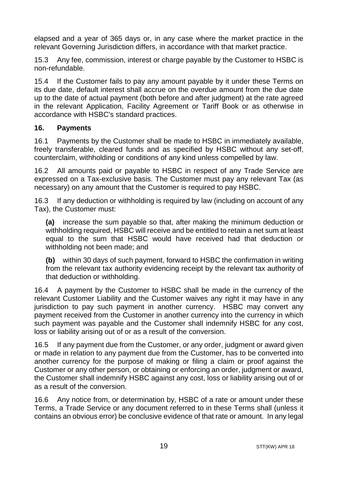elapsed and a year of 365 days or, in any case where the market practice in the relevant Governing Jurisdiction differs, in accordance with that market practice.

15.3 Any fee, commission, interest or charge payable by the Customer to HSBC is non-refundable.

15.4 If the Customer fails to pay any amount payable by it under these Terms on its due date, default interest shall accrue on the overdue amount from the due date up to the date of actual payment (both before and after judgment) at the rate agreed in the relevant Application, Facility Agreement or Tariff Book or as otherwise in accordance with HSBC's standard practices.

## <span id="page-18-0"></span>**16. Payments**

16.1 Payments by the Customer shall be made to HSBC in immediately available, freely transferable, cleared funds and as specified by HSBC without any set-off, counterclaim, withholding or conditions of any kind unless compelled by law.

16.2 All amounts paid or payable to HSBC in respect of any Trade Service are expressed on a Tax-exclusive basis. The Customer must pay any relevant Tax (as necessary) on any amount that the Customer is required to pay HSBC.

16.3 If any deduction or withholding is required by law (including on account of any Tax), the Customer must:

**(a)** increase the sum payable so that, after making the minimum deduction or withholding required, HSBC will receive and be entitled to retain a net sum at least equal to the sum that HSBC would have received had that deduction or withholding not been made; and

**(b)** within 30 days of such payment, forward to HSBC the confirmation in writing from the relevant tax authority evidencing receipt by the relevant tax authority of that deduction or withholding.

16.4 A payment by the Customer to HSBC shall be made in the currency of the relevant Customer Liability and the Customer waives any right it may have in any jurisdiction to pay such payment in another currency. HSBC may convert any payment received from the Customer in another currency into the currency in which such payment was payable and the Customer shall indemnify HSBC for any cost, loss or liability arising out of or as a result of the conversion.

16.5 If any payment due from the Customer, or any order, judgment or award given or made in relation to any payment due from the Customer, has to be converted into another currency for the purpose of making or filing a claim or proof against the Customer or any other person, or obtaining or enforcing an order, judgment or award, the Customer shall indemnify HSBC against any cost, loss or liability arising out of or as a result of the conversion.

16.6 Any notice from, or determination by, HSBC of a rate or amount under these Terms, a Trade Service or any document referred to in these Terms shall (unless it contains an obvious error) be conclusive evidence of that rate or amount. In any legal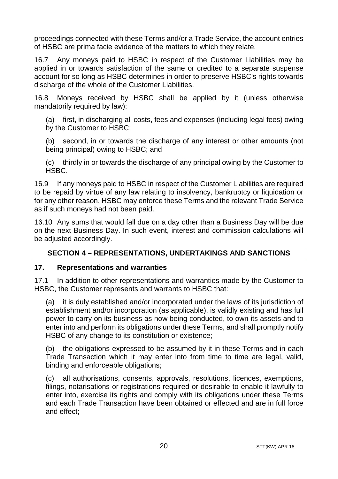proceedings connected with these Terms and/or a Trade Service, the account entries of HSBC are prima facie evidence of the matters to which they relate.

16.7 Any moneys paid to HSBC in respect of the Customer Liabilities may be applied in or towards satisfaction of the same or credited to a separate suspense account for so long as HSBC determines in order to preserve HSBC's rights towards discharge of the whole of the Customer Liabilities.

16.8 Moneys received by HSBC shall be applied by it (unless otherwise mandatorily required by law):

(a) first, in discharging all costs, fees and expenses (including legal fees) owing by the Customer to HSBC;

(b) second, in or towards the discharge of any interest or other amounts (not being principal) owing to HSBC; and

(c) thirdly in or towards the discharge of any principal owing by the Customer to HSBC.

16.9 If any moneys paid to HSBC in respect of the Customer Liabilities are required to be repaid by virtue of any law relating to insolvency, bankruptcy or liquidation or for any other reason, HSBC may enforce these Terms and the relevant Trade Service as if such moneys had not been paid.

16.10 Any sums that would fall due on a day other than a Business Day will be due on the next Business Day. In such event, interest and commission calculations will be adjusted accordingly.

# <span id="page-19-0"></span>**SECTION 4 – REPRESENTATIONS, UNDERTAKINGS AND SANCTIONS**

#### <span id="page-19-1"></span>**17. Representations and warranties**

17.1 In addition to other representations and warranties made by the Customer to HSBC, the Customer represents and warrants to HSBC that:

(a) it is duly established and/or incorporated under the laws of its jurisdiction of establishment and/or incorporation (as applicable), is validly existing and has full power to carry on its business as now being conducted, to own its assets and to enter into and perform its obligations under these Terms, and shall promptly notify HSBC of any change to its constitution or existence;

(b) the obligations expressed to be assumed by it in these Terms and in each Trade Transaction which it may enter into from time to time are legal, valid, binding and enforceable obligations;

(c) all authorisations, consents, approvals, resolutions, licences, exemptions, filings, notarisations or registrations required or desirable to enable it lawfully to enter into, exercise its rights and comply with its obligations under these Terms and each Trade Transaction have been obtained or effected and are in full force and effect;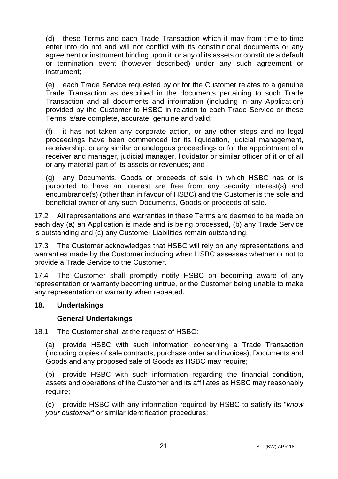(d) these Terms and each Trade Transaction which it may from time to time enter into do not and will not conflict with its constitutional documents or any agreement or instrument binding upon it or any of its assets or constitute a default or termination event (however described) under any such agreement or instrument;

(e) each Trade Service requested by or for the Customer relates to a genuine Trade Transaction as described in the documents pertaining to such Trade Transaction and all documents and information (including in any Application) provided by the Customer to HSBC in relation to each Trade Service or these Terms is/are complete, accurate, genuine and valid;

(f) it has not taken any corporate action, or any other steps and no legal proceedings have been commenced for its liquidation, judicial management, receivership, or any similar or analogous proceedings or for the appointment of a receiver and manager, judicial manager, liquidator or similar officer of it or of all or any material part of its assets or revenues; and

(g) any Documents, Goods or proceeds of sale in which HSBC has or is purported to have an interest are free from any security interest(s) and encumbrance(s) (other than in favour of HSBC) and the Customer is the sole and beneficial owner of any such Documents, Goods or proceeds of sale.

17.2 All representations and warranties in these Terms are deemed to be made on each day (a) an Application is made and is being processed, (b) any Trade Service is outstanding and (c) any Customer Liabilities remain outstanding.

17.3 The Customer acknowledges that HSBC will rely on any representations and warranties made by the Customer including when HSBC assesses whether or not to provide a Trade Service to the Customer.

17.4 The Customer shall promptly notify HSBC on becoming aware of any representation or warranty becoming untrue, or the Customer being unable to make any representation or warranty when repeated.

#### <span id="page-20-0"></span>**18. Undertakings**

#### **General Undertakings**

18.1 The Customer shall at the request of HSBC:

(a) provide HSBC with such information concerning a Trade Transaction (including copies of sale contracts, purchase order and invoices), Documents and Goods and any proposed sale of Goods as HSBC may require;

(b) provide HSBC with such information regarding the financial condition, assets and operations of the Customer and its affiliates as HSBC may reasonably require;

(c) provide HSBC with any information required by HSBC to satisfy its "*know your customer*" or similar identification procedures;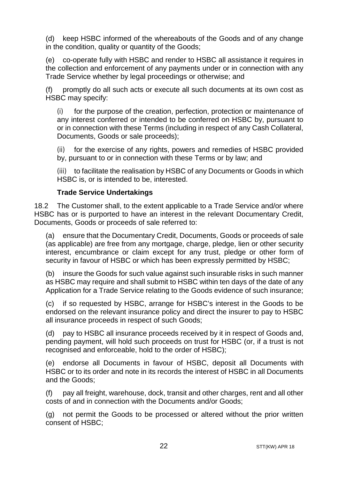(d) keep HSBC informed of the whereabouts of the Goods and of any change in the condition, quality or quantity of the Goods;

(e) co-operate fully with HSBC and render to HSBC all assistance it requires in the collection and enforcement of any payments under or in connection with any Trade Service whether by legal proceedings or otherwise; and

(f) promptly do all such acts or execute all such documents at its own cost as HSBC may specify:

(i) for the purpose of the creation, perfection, protection or maintenance of any interest conferred or intended to be conferred on HSBC by, pursuant to or in connection with these Terms (including in respect of any Cash Collateral, Documents, Goods or sale proceeds);

(ii) for the exercise of any rights, powers and remedies of HSBC provided by, pursuant to or in connection with these Terms or by law; and

(iii) to facilitate the realisation by HSBC of any Documents or Goods in which HSBC is, or is intended to be, interested.

## **Trade Service Undertakings**

18.2 The Customer shall, to the extent applicable to a Trade Service and/or where HSBC has or is purported to have an interest in the relevant Documentary Credit, Documents, Goods or proceeds of sale referred to:

(a) ensure that the Documentary Credit, Documents, Goods or proceeds of sale (as applicable) are free from any mortgage, charge, pledge, lien or other security interest, encumbrance or claim except for any trust, pledge or other form of security in favour of HSBC or which has been expressly permitted by HSBC;

(b) insure the Goods for such value against such insurable risks in such manner as HSBC may require and shall submit to HSBC within ten days of the date of any Application for a Trade Service relating to the Goods evidence of such insurance;

(c) if so requested by HSBC, arrange for HSBC's interest in the Goods to be endorsed on the relevant insurance policy and direct the insurer to pay to HSBC all insurance proceeds in respect of such Goods;

(d) pay to HSBC all insurance proceeds received by it in respect of Goods and, pending payment, will hold such proceeds on trust for HSBC (or, if a trust is not recognised and enforceable, hold to the order of HSBC);

(e) endorse all Documents in favour of HSBC, deposit all Documents with HSBC or to its order and note in its records the interest of HSBC in all Documents and the Goods;

(f) pay all freight, warehouse, dock, transit and other charges, rent and all other costs of and in connection with the Documents and/or Goods;

(g) not permit the Goods to be processed or altered without the prior written consent of HSBC;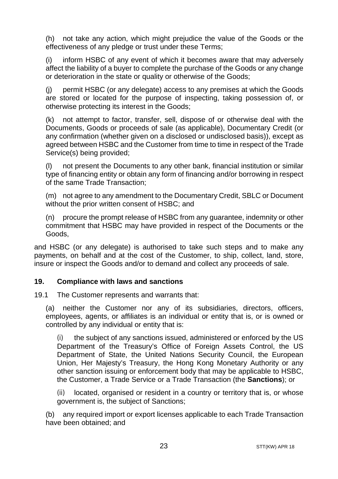(h) not take any action, which might prejudice the value of the Goods or the effectiveness of any pledge or trust under these Terms;

(i) inform HSBC of any event of which it becomes aware that may adversely affect the liability of a buyer to complete the purchase of the Goods or any change or deterioration in the state or quality or otherwise of the Goods;

(j) permit HSBC (or any delegate) access to any premises at which the Goods are stored or located for the purpose of inspecting, taking possession of, or otherwise protecting its interest in the Goods;

(k) not attempt to factor, transfer, sell, dispose of or otherwise deal with the Documents, Goods or proceeds of sale (as applicable), Documentary Credit (or any confirmation (whether given on a disclosed or undisclosed basis)), except as agreed between HSBC and the Customer from time to time in respect of the Trade Service(s) being provided:

(l) not present the Documents to any other bank, financial institution or similar type of financing entity or obtain any form of financing and/or borrowing in respect of the same Trade Transaction;

(m) not agree to any amendment to the Documentary Credit, SBLC or Document without the prior written consent of HSBC; and

(n) procure the prompt release of HSBC from any guarantee, indemnity or other commitment that HSBC may have provided in respect of the Documents or the Goods,

and HSBC (or any delegate) is authorised to take such steps and to make any payments, on behalf and at the cost of the Customer, to ship, collect, land, store, insure or inspect the Goods and/or to demand and collect any proceeds of sale.

# <span id="page-22-0"></span>**19. Compliance with laws and sanctions**

19.1 The Customer represents and warrants that:

(a) neither the Customer nor any of its subsidiaries, directors, officers, employees, agents, or affiliates is an individual or entity that is, or is owned or controlled by any individual or entity that is:

(i) the subject of any sanctions issued, administered or enforced by the US Department of the Treasury's Office of Foreign Assets Control, the US Department of State, the United Nations Security Council, the European Union, Her Majesty's Treasury, the Hong Kong Monetary Authority or any other sanction issuing or enforcement body that may be applicable to HSBC, the Customer, a Trade Service or a Trade Transaction (the **Sanctions**); or

(ii) located, organised or resident in a country or territory that is, or whose government is, the subject of Sanctions;

(b) any required import or export licenses applicable to each Trade Transaction have been obtained; and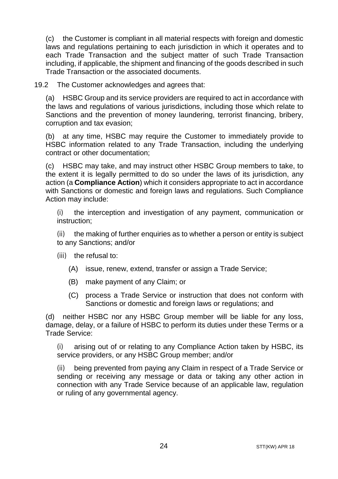(c) the Customer is compliant in all material respects with foreign and domestic laws and regulations pertaining to each jurisdiction in which it operates and to each Trade Transaction and the subject matter of such Trade Transaction including, if applicable, the shipment and financing of the goods described in such Trade Transaction or the associated documents.

19.2 The Customer acknowledges and agrees that:

(a) HSBC Group and its service providers are required to act in accordance with the laws and regulations of various jurisdictions, including those which relate to Sanctions and the prevention of money laundering, terrorist financing, bribery, corruption and tax evasion;

(b) at any time, HSBC may require the Customer to immediately provide to HSBC information related to any Trade Transaction, including the underlying contract or other documentation;

(c) HSBC may take, and may instruct other HSBC Group members to take, to the extent it is legally permitted to do so under the laws of its jurisdiction, any action (a **Compliance Action**) which it considers appropriate to act in accordance with Sanctions or domestic and foreign laws and regulations. Such Compliance Action may include:

(i) the interception and investigation of any payment, communication or instruction;

(ii) the making of further enquiries as to whether a person or entity is subject to any Sanctions; and/or

- (iii) the refusal to:
	- (A) issue, renew, extend, transfer or assign a Trade Service;
	- (B) make payment of any Claim; or
	- (C) process a Trade Service or instruction that does not conform with Sanctions or domestic and foreign laws or regulations; and

(d) neither HSBC nor any HSBC Group member will be liable for any loss, damage, delay, or a failure of HSBC to perform its duties under these Terms or a Trade Service:

(i) arising out of or relating to any Compliance Action taken by HSBC, its service providers, or any HSBC Group member; and/or

(ii) being prevented from paying any Claim in respect of a Trade Service or sending or receiving any message or data or taking any other action in connection with any Trade Service because of an applicable law, regulation or ruling of any governmental agency.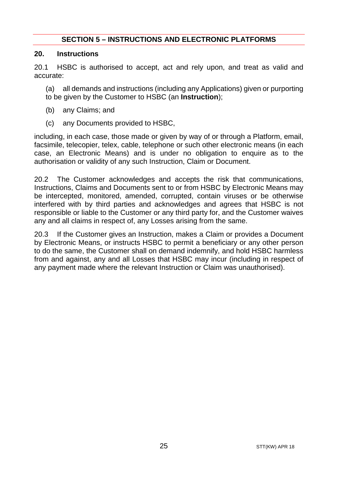## **SECTION 5 – INSTRUCTIONS AND ELECTRONIC PLATFORMS**

#### <span id="page-24-1"></span><span id="page-24-0"></span>**20. Instructions**

20.1 HSBC is authorised to accept, act and rely upon, and treat as valid and accurate:

(a) all demands and instructions (including any Applications) given or purporting to be given by the Customer to HSBC (an **Instruction**);

- (b) any Claims; and
- (c) any Documents provided to HSBC,

including, in each case, those made or given by way of or through a Platform, email, facsimile, telecopier, telex, cable, telephone or such other electronic means (in each case, an Electronic Means) and is under no obligation to enquire as to the authorisation or validity of any such Instruction, Claim or Document.

20.2 The Customer acknowledges and accepts the risk that communications, Instructions, Claims and Documents sent to or from HSBC by Electronic Means may be intercepted, monitored, amended, corrupted, contain viruses or be otherwise interfered with by third parties and acknowledges and agrees that HSBC is not responsible or liable to the Customer or any third party for, and the Customer waives any and all claims in respect of, any Losses arising from the same.

20.3 If the Customer gives an Instruction, makes a Claim or provides a Document by Electronic Means, or instructs HSBC to permit a beneficiary or any other person to do the same, the Customer shall on demand indemnify, and hold HSBC harmless from and against, any and all Losses that HSBC may incur (including in respect of any payment made where the relevant Instruction or Claim was unauthorised).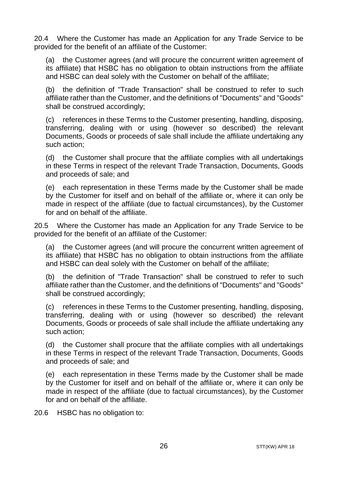20.4 Where the Customer has made an Application for any Trade Service to be provided for the benefit of an affiliate of the Customer:

(a) the Customer agrees (and will procure the concurrent written agreement of its affiliate) that HSBC has no obligation to obtain instructions from the affiliate and HSBC can deal solely with the Customer on behalf of the affiliate;

(b) the definition of "Trade Transaction" shall be construed to refer to such affiliate rather than the Customer, and the definitions of "Documents" and "Goods" shall be construed accordingly;

(c) references in these Terms to the Customer presenting, handling, disposing, transferring, dealing with or using (however so described) the relevant Documents, Goods or proceeds of sale shall include the affiliate undertaking any such action;

(d) the Customer shall procure that the affiliate complies with all undertakings in these Terms in respect of the relevant Trade Transaction, Documents, Goods and proceeds of sale; and

(e) each representation in these Terms made by the Customer shall be made by the Customer for itself and on behalf of the affiliate or, where it can only be made in respect of the affiliate (due to factual circumstances), by the Customer for and on behalf of the affiliate.

20.5 Where the Customer has made an Application for any Trade Service to be provided for the benefit of an affiliate of the Customer:

(a) the Customer agrees (and will procure the concurrent written agreement of its affiliate) that HSBC has no obligation to obtain instructions from the affiliate and HSBC can deal solely with the Customer on behalf of the affiliate;

(b) the definition of "Trade Transaction" shall be construed to refer to such affiliate rather than the Customer, and the definitions of "Documents" and "Goods" shall be construed accordingly;

(c) references in these Terms to the Customer presenting, handling, disposing, transferring, dealing with or using (however so described) the relevant Documents, Goods or proceeds of sale shall include the affiliate undertaking any such action;

(d) the Customer shall procure that the affiliate complies with all undertakings in these Terms in respect of the relevant Trade Transaction, Documents, Goods and proceeds of sale; and

(e) each representation in these Terms made by the Customer shall be made by the Customer for itself and on behalf of the affiliate or, where it can only be made in respect of the affiliate (due to factual circumstances), by the Customer for and on behalf of the affiliate.

20.6 HSBC has no obligation to: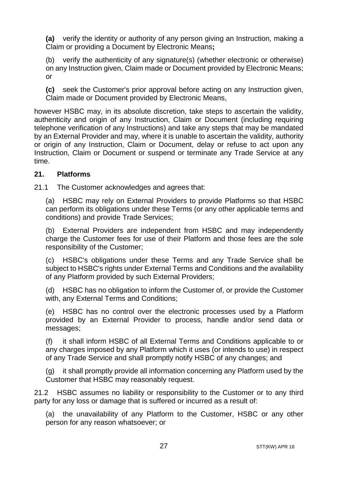**(a)** verify the identity or authority of any person giving an Instruction, making a Claim or providing a Document by Electronic Means**;**

(b) verify the authenticity of any signature(s) (whether electronic or otherwise) on any Instruction given, Claim made or Document provided by Electronic Means; or

**(c)** seek the Customer's prior approval before acting on any Instruction given, Claim made or Document provided by Electronic Means,

however HSBC may, in its absolute discretion, take steps to ascertain the validity, authenticity and origin of any Instruction, Claim or Document (including requiring telephone verification of any Instructions) and take any steps that may be mandated by an External Provider and may, where it is unable to ascertain the validity, authority or origin of any Instruction, Claim or Document, delay or refuse to act upon any Instruction, Claim or Document or suspend or terminate any Trade Service at any time.

## <span id="page-26-0"></span>**21. Platforms**

21.1 The Customer acknowledges and agrees that:

(a) HSBC may rely on External Providers to provide Platforms so that HSBC can perform its obligations under these Terms (or any other applicable terms and conditions) and provide Trade Services;

(b) External Providers are independent from HSBC and may independently charge the Customer fees for use of their Platform and those fees are the sole responsibility of the Customer;

(c) HSBC's obligations under these Terms and any Trade Service shall be subject to HSBC's rights under External Terms and Conditions and the availability of any Platform provided by such External Providers;

(d) HSBC has no obligation to inform the Customer of, or provide the Customer with, any External Terms and Conditions;

(e) HSBC has no control over the electronic processes used by a Platform provided by an External Provider to process, handle and/or send data or messages;

(f) it shall inform HSBC of all External Terms and Conditions applicable to or any charges imposed by any Platform which it uses (or intends to use) in respect of any Trade Service and shall promptly notify HSBC of any changes; and

(g) it shall promptly provide all information concerning any Platform used by the Customer that HSBC may reasonably request.

21.2 HSBC assumes no liability or responsibility to the Customer or to any third party for any loss or damage that is suffered or incurred as a result of:

(a) the unavailability of any Platform to the Customer, HSBC or any other person for any reason whatsoever; or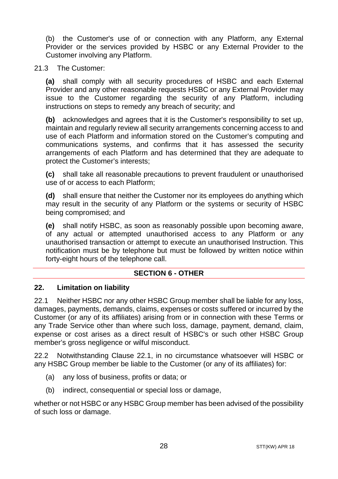(b) the Customer's use of or connection with any Platform, any External Provider or the services provided by HSBC or any External Provider to the Customer involving any Platform.

#### 21.3 The Customer:

**(a)** shall comply with all security procedures of HSBC and each External Provider and any other reasonable requests HSBC or any External Provider may issue to the Customer regarding the security of any Platform, including instructions on steps to remedy any breach of security; and

**(b)** acknowledges and agrees that it is the Customer's responsibility to set up, maintain and regularly review all security arrangements concerning access to and use of each Platform and information stored on the Customer's computing and communications systems, and confirms that it has assessed the security arrangements of each Platform and has determined that they are adequate to protect the Customer's interests;

**(c)** shall take all reasonable precautions to prevent fraudulent or unauthorised use of or access to each Platform;

**(d)** shall ensure that neither the Customer nor its employees do anything which may result in the security of any Platform or the systems or security of HSBC being compromised; and

**(e)** shall notify HSBC, as soon as reasonably possible upon becoming aware, of any actual or attempted unauthorised access to any Platform or any unauthorised transaction or attempt to execute an unauthorised Instruction. This notification must be by telephone but must be followed by written notice within forty-eight hours of the telephone call.

#### **SECTION 6 - OTHER**

#### <span id="page-27-1"></span><span id="page-27-0"></span>**22. Limitation on liability**

<span id="page-27-2"></span>22.1 Neither HSBC nor any other HSBC Group member shall be liable for any loss, damages, payments, demands, claims, expenses or costs suffered or incurred by the Customer (or any of its affiliates) arising from or in connection with these Terms or any Trade Service other than where such loss, damage, payment, demand, claim, expense or cost arises as a direct result of HSBC's or such other HSBC Group member's gross negligence or wilful misconduct.

<span id="page-27-3"></span>22.2 Notwithstanding Clause [22.1,](#page-27-2) in no circumstance whatsoever will HSBC or any HSBC Group member be liable to the Customer (or any of its affiliates) for:

- (a) any loss of business, profits or data; or
- (b) indirect, consequential or special loss or damage,

whether or not HSBC or any HSBC Group member has been advised of the possibility of such loss or damage.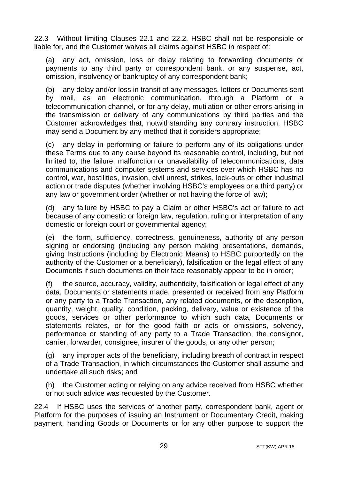22.3 Without limiting Clauses [22.1](#page-27-2) and [22.2,](#page-27-3) HSBC shall not be responsible or liable for, and the Customer waives all claims against HSBC in respect of:

(a) any act, omission, loss or delay relating to forwarding documents or payments to any third party or correspondent bank, or any suspense, act, omission, insolvency or bankruptcy of any correspondent bank;

(b) any delay and/or loss in transit of any messages, letters or Documents sent by mail, as an electronic communication, through a Platform or a telecommunication channel, or for any delay, mutilation or other errors arising in the transmission or delivery of any communications by third parties and the Customer acknowledges that, notwithstanding any contrary instruction, HSBC may send a Document by any method that it considers appropriate;

(c) any delay in performing or failure to perform any of its obligations under these Terms due to any cause beyond its reasonable control, including, but not limited to, the failure, malfunction or unavailability of telecommunications, data communications and computer systems and services over which HSBC has no control, war, hostilities, invasion, civil unrest, strikes, lock-outs or other industrial action or trade disputes (whether involving HSBC's employees or a third party) or any law or government order (whether or not having the force of law);

(d) any failure by HSBC to pay a Claim or other HSBC's act or failure to act because of any domestic or foreign law, regulation, ruling or interpretation of any domestic or foreign court or governmental agency;

(e) the form, sufficiency, correctness, genuineness, authority of any person signing or endorsing (including any person making presentations, demands, giving Instructions (including by Electronic Means) to HSBC purportedly on the authority of the Customer or a beneficiary), falsification or the legal effect of any Documents if such documents on their face reasonably appear to be in order;

(f) the source, accuracy, validity, authenticity, falsification or legal effect of any data, Documents or statements made, presented or received from any Platform or any party to a Trade Transaction, any related documents, or the description, quantity, weight, quality, condition, packing, delivery, value or existence of the goods, services or other performance to which such data, Documents or statements relates, or for the good faith or acts or omissions, solvency, performance or standing of any party to a Trade Transaction, the consignor, carrier, forwarder, consignee, insurer of the goods, or any other person;

(g) any improper acts of the beneficiary, including breach of contract in respect of a Trade Transaction, in which circumstances the Customer shall assume and undertake all such risks; and

(h) the Customer acting or relying on any advice received from HSBC whether or not such advice was requested by the Customer.

22.4 If HSBC uses the services of another party, correspondent bank, agent or Platform for the purposes of issuing an Instrument or Documentary Credit, making payment, handling Goods or Documents or for any other purpose to support the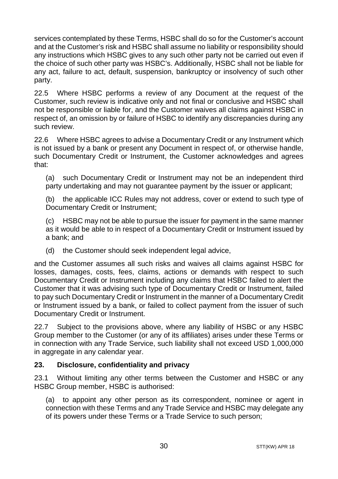services contemplated by these Terms, HSBC shall do so for the Customer's account and at the Customer's risk and HSBC shall assume no liability or responsibility should any instructions which HSBC gives to any such other party not be carried out even if the choice of such other party was HSBC's. Additionally, HSBC shall not be liable for any act, failure to act, default, suspension, bankruptcy or insolvency of such other party.

22.5 Where HSBC performs a review of any Document at the request of the Customer, such review is indicative only and not final or conclusive and HSBC shall not be responsible or liable for, and the Customer waives all claims against HSBC in respect of, an omission by or failure of HSBC to identify any discrepancies during any such review.

22.6 Where HSBC agrees to advise a Documentary Credit or any Instrument which is not issued by a bank or present any Document in respect of, or otherwise handle, such Documentary Credit or Instrument, the Customer acknowledges and agrees that:

(a) such Documentary Credit or Instrument may not be an independent third party undertaking and may not guarantee payment by the issuer or applicant;

(b) the applicable ICC Rules may not address, cover or extend to such type of Documentary Credit or Instrument;

(c) HSBC may not be able to pursue the issuer for payment in the same manner as it would be able to in respect of a Documentary Credit or Instrument issued by a bank; and

(d) the Customer should seek independent legal advice,

and the Customer assumes all such risks and waives all claims against HSBC for losses, damages, costs, fees, claims, actions or demands with respect to such Documentary Credit or Instrument including any claims that HSBC failed to alert the Customer that it was advising such type of Documentary Credit or Instrument, failed to pay such Documentary Credit or Instrument in the manner of a Documentary Credit or Instrument issued by a bank, or failed to collect payment from the issuer of such Documentary Credit or Instrument.

22.7 Subject to the provisions above, where any liability of HSBC or any HSBC Group member to the Customer (or any of its affiliates) arises under these Terms or in connection with any Trade Service, such liability shall not exceed USD 1,000,000 in aggregate in any calendar year.

#### <span id="page-29-0"></span>**23. Disclosure, confidentiality and privacy**

23.1 Without limiting any other terms between the Customer and HSBC or any HSBC Group member, HSBC is authorised:

<span id="page-29-1"></span>(a) to appoint any other person as its correspondent, nominee or agent in connection with these Terms and any Trade Service and HSBC may delegate any of its powers under these Terms or a Trade Service to such person;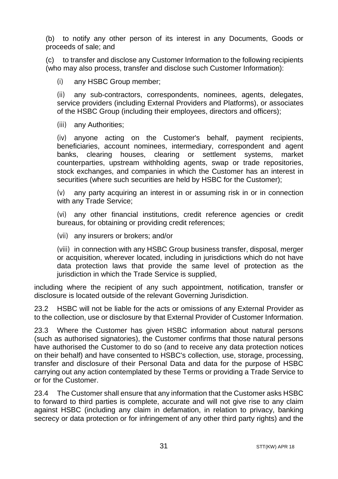(b) to notify any other person of its interest in any Documents, Goods or proceeds of sale; and

(c) to transfer and disclose any Customer Information to the following recipients (who may also process, transfer and disclose such Customer Information):

(i) any HSBC Group member;

(ii) any sub-contractors, correspondents, nominees, agents, delegates, service providers (including External Providers and Platforms), or associates of the HSBC Group (including their employees, directors and officers);

(iii) any Authorities;

(iv) anyone acting on the Customer's behalf, payment recipients, beneficiaries, account nominees, intermediary, correspondent and agent<br>banks, clearing houses, clearing or settlement systems, market banks, clearing houses, clearing or settlement systems, counterparties, upstream withholding agents, swap or trade repositories, stock exchanges, and companies in which the Customer has an interest in securities (where such securities are held by HSBC for the Customer);

(v) any party acquiring an interest in or assuming risk in or in connection with any Trade Service;

(vi) any other financial institutions, credit reference agencies or credit bureaus, for obtaining or providing credit references;

(vii) any insurers or brokers; and/or

(viii) in connection with any HSBC Group business transfer, disposal, merger or acquisition, wherever located, including in jurisdictions which do not have data protection laws that provide the same level of protection as the jurisdiction in which the Trade Service is supplied.

including where the recipient of any such appointment, notification, transfer or disclosure is located outside of the relevant Governing Jurisdiction.

23.2 HSBC will not be liable for the acts or omissions of any External Provider as to the collection, use or disclosure by that External Provider of Customer Information.

23.3 Where the Customer has given HSBC information about natural persons (such as authorised signatories), the Customer confirms that those natural persons have authorised the Customer to do so (and to receive any data protection notices on their behalf) and have consented to HSBC's collection, use, storage, processing, transfer and disclosure of their Personal Data and data for the purpose of HSBC carrying out any action contemplated by these Terms or providing a Trade Service to or for the Customer.

23.4 The Customer shall ensure that any information that the Customer asks HSBC to forward to third parties is complete, accurate and will not give rise to any claim against HSBC (including any claim in defamation, in relation to privacy, banking secrecy or data protection or for infringement of any other third party rights) and the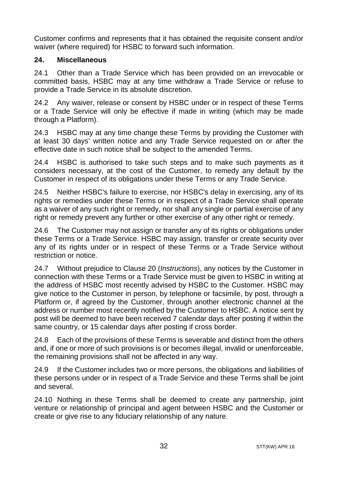Customer confirms and represents that it has obtained the requisite consent and/or waiver (where required) for HSBC to forward such information.

## <span id="page-31-0"></span>**24. Miscellaneous**

24.1 Other than a Trade Service which has been provided on an irrevocable or committed basis, HSBC may at any time withdraw a Trade Service or refuse to provide a Trade Service in its absolute discretion.

24.2 Any waiver, release or consent by HSBC under or in respect of these Terms or a Trade Service will only be effective if made in writing (which may be made through a Platform).

24.3 HSBC may at any time change these Terms by providing the Customer with at least 30 days' written notice and any Trade Service requested on or after the effective date in such notice shall be subject to the amended Terms.

24.4 HSBC is authorised to take such steps and to make such payments as it considers necessary, at the cost of the Customer, to remedy any default by the Customer in respect of its obligations under these Terms or any Trade Service.

24.5 Neither HSBC's failure to exercise, nor HSBC's delay in exercising, any of its rights or remedies under these Terms or in respect of a Trade Service shall operate as a waiver of any such right or remedy, nor shall any single or partial exercise of any right or remedy prevent any further or other exercise of any other right or remedy.

24.6 The Customer may not assign or transfer any of its rights or obligations under these Terms or a Trade Service. HSBC may assign, transfer or create security over any of its rights under or in respect of these Terms or a Trade Service without restriction or notice.

24.7 Without prejudice to Claus[e 20](#page-24-1) (*[Instructions](#page-24-1)*), any notices by the Customer in connection with these Terms or a Trade Service must be given to HSBC in writing at the address of HSBC most recently advised by HSBC to the Customer. HSBC may give notice to the Customer in person, by telephone or facsimile, by post, through a Platform or, if agreed by the Customer, through another electronic channel at the address or number most recently notified by the Customer to HSBC. A notice sent by post will be deemed to have been received 7 calendar days after posting if within the same country, or 15 calendar days after posting if cross border.

24.8 Each of the provisions of these Terms is severable and distinct from the others and, if one or more of such provisions is or becomes illegal, invalid or unenforceable, the remaining provisions shall not be affected in any way.

24.9 If the Customer includes two or more persons, the obligations and liabilities of these persons under or in respect of a Trade Service and these Terms shall be joint and several.

24.10 Nothing in these Terms shall be deemed to create any partnership, joint venture or relationship of principal and agent between HSBC and the Customer or create or give rise to any fiduciary relationship of any nature.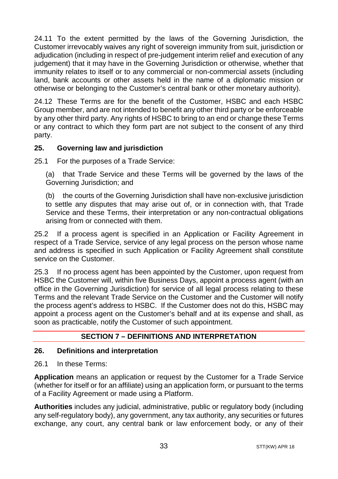24.11 To the extent permitted by the laws of the Governing Jurisdiction, the Customer irrevocably waives any right of sovereign immunity from suit, jurisdiction or adjudication (including in respect of pre-judgement interim relief and execution of any judgement) that it may have in the Governing Jurisdiction or otherwise, whether that immunity relates to itself or to any commercial or non-commercial assets (including land, bank accounts or other assets held in the name of a diplomatic mission or otherwise or belonging to the Customer's central bank or other monetary authority).

24.12 These Terms are for the benefit of the Customer, HSBC and each HSBC Group member, and are not intended to benefit any other third party or be enforceable by any other third party. Any rights of HSBC to bring to an end or change these Terms or any contract to which they form part are not subject to the consent of any third party.

## <span id="page-32-0"></span>**25. Governing law and jurisdiction**

25.1 For the purposes of a Trade Service:

(a) that Trade Service and these Terms will be governed by the laws of the Governing Jurisdiction; and

(b) the courts of the Governing Jurisdiction shall have non-exclusive jurisdiction to settle any disputes that may arise out of, or in connection with, that Trade Service and these Terms, their interpretation or any non-contractual obligations arising from or connected with them.

25.2 If a process agent is specified in an Application or Facility Agreement in respect of a Trade Service, service of any legal process on the person whose name and address is specified in such Application or Facility Agreement shall constitute service on the Customer.

25.3 If no process agent has been appointed by the Customer, upon request from HSBC the Customer will, within five Business Days, appoint a process agent (with an office in the Governing Jurisdiction) for service of all legal process relating to these Terms and the relevant Trade Service on the Customer and the Customer will notify the process agent's address to HSBC. If the Customer does not do this, HSBC may appoint a process agent on the Customer's behalf and at its expense and shall, as soon as practicable, notify the Customer of such appointment.

# **SECTION 7 – DEFINITIONS AND INTERPRETATION**

#### <span id="page-32-2"></span><span id="page-32-1"></span>**26. Definitions and interpretation**

26.1 In these Terms:

**Application** means an application or request by the Customer for a Trade Service (whether for itself or for an affiliate) using an application form, or pursuant to the terms of a Facility Agreement or made using a Platform.

**Authorities** includes any judicial, administrative, public or regulatory body (including any self-regulatory body), any government, any tax authority, any securities or futures exchange, any court, any central bank or law enforcement body, or any of their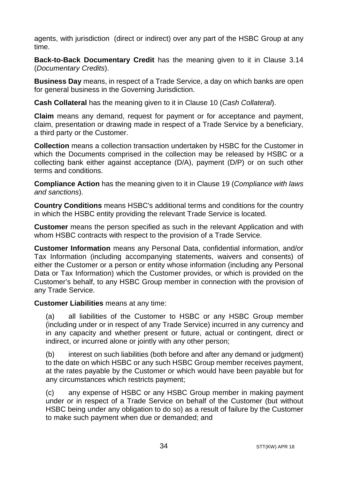agents, with jurisdiction (direct or indirect) over any part of the HSBC Group at any time.

**Back-to-Back Documentary Credit** has the meaning given to it in Clause [3.14](#page-5-0) (*Documentary Credits*).

**Business Day** means, in respect of a Trade Service, a day on which banks are open for general business in the Governing Jurisdiction.

**Cash Collateral** has the meaning given to it in Claus[e 10](#page-14-0) (*[Cash Collateral](#page-14-0)*).

**Claim** means any demand, request for payment or for acceptance and payment, claim, presentation or drawing made in respect of a Trade Service by a beneficiary, a third party or the Customer.

**Collection** means a collection transaction undertaken by HSBC for the Customer in which the Documents comprised in the collection may be released by HSBC or a collecting bank either against acceptance (D/A), payment (D/P) or on such other terms and conditions.

**Compliance Action** has the meaning given to it in Clause [19](#page-22-0) (*[Compliance with laws](#page-22-0)  [and sanctions](#page-22-0)*).

**Country Conditions** means HSBC's additional terms and conditions for the country in which the HSBC entity providing the relevant Trade Service is located.

**Customer** means the person specified as such in the relevant Application and with whom HSBC contracts with respect to the provision of a Trade Service.

**Customer Information** means any Personal Data, confidential information, and/or Tax Information (including accompanying statements, waivers and consents) of either the Customer or a person or entity whose information (including any Personal Data or Tax Information) which the Customer provides, or which is provided on the Customer's behalf, to any HSBC Group member in connection with the provision of any Trade Service.

#### **Customer Liabilities** means at any time:

(a) all liabilities of the Customer to HSBC or any HSBC Group member (including under or in respect of any Trade Service) incurred in any currency and in any capacity and whether present or future, actual or contingent, direct or indirect, or incurred alone or jointly with any other person;

(b) interest on such liabilities (both before and after any demand or judgment) to the date on which HSBC or any such HSBC Group member receives payment, at the rates payable by the Customer or which would have been payable but for any circumstances which restricts payment;

(c) any expense of HSBC or any HSBC Group member in making payment under or in respect of a Trade Service on behalf of the Customer (but without HSBC being under any obligation to do so) as a result of failure by the Customer to make such payment when due or demanded; and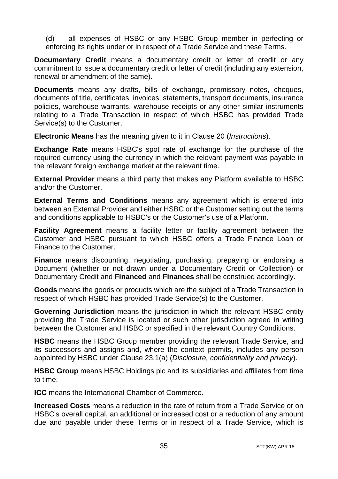(d) all expenses of HSBC or any HSBC Group member in perfecting or enforcing its rights under or in respect of a Trade Service and these Terms.

**Documentary Credit** means a documentary credit or letter of credit or any commitment to issue a documentary credit or letter of credit (including any extension, renewal or amendment of the same).

**Documents** means any drafts, bills of exchange, promissory notes, cheques, documents of title, certificates, invoices, statements, transport documents, insurance policies, warehouse warrants, warehouse receipts or any other similar instruments relating to a Trade Transaction in respect of which HSBC has provided Trade Service(s) to the Customer.

**Electronic Means** has the meaning given to it in Clause [20](#page-24-1) (*[Instructions](#page-24-1)*).

**Exchange Rate** means HSBC's spot rate of exchange for the purchase of the required currency using the currency in which the relevant payment was payable in the relevant foreign exchange market at the relevant time.

**External Provider** means a third party that makes any Platform available to HSBC and/or the Customer.

**External Terms and Conditions** means any agreement which is entered into between an External Provider and either HSBC or the Customer setting out the terms and conditions applicable to HSBC's or the Customer's use of a Platform.

**Facility Agreement** means a facility letter or facility agreement between the Customer and HSBC pursuant to which HSBC offers a Trade Finance Loan or Finance to the Customer.

**Finance** means discounting, negotiating, purchasing, prepaying or endorsing a Document (whether or not drawn under a Documentary Credit or Collection) or Documentary Credit and **Financed** and **Finances** shall be construed accordingly.

**Goods** means the goods or products which are the subject of a Trade Transaction in respect of which HSBC has provided Trade Service(s) to the Customer.

**Governing Jurisdiction** means the jurisdiction in which the relevant HSBC entity providing the Trade Service is located or such other jurisdiction agreed in writing between the Customer and HSBC or specified in the relevant Country Conditions.

**HSBC** means the HSBC Group member providing the relevant Trade Service, and its successors and assigns and, where the context permits, includes any person appointed by HSBC under Clause [23.1\(a\)](#page-29-1) (*[Disclosure, confidentiality and privacy](#page-29-0)*).

**HSBC Group** means HSBC Holdings plc and its subsidiaries and affiliates from time to time.

**ICC** means the International Chamber of Commerce.

**Increased Costs** means a reduction in the rate of return from a Trade Service or on HSBC's overall capital, an additional or increased cost or a reduction of any amount due and payable under these Terms or in respect of a Trade Service, which is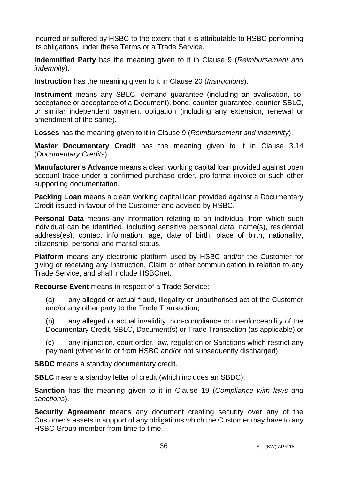incurred or suffered by HSBC to the extent that it is attributable to HSBC performing its obligations under these Terms or a Trade Service.

**Indemnified Party** has the meaning given to it in Clause [9](#page-13-1) (*[Reimbursement and](#page-13-1)  [indemnity](#page-13-1)*).

**Instruction** has the meaning given to it in Claus[e 20](#page-24-1) (*[Instructions](#page-24-1)*).

**Instrument** means any SBLC, demand guarantee (including an avalisation, coacceptance or acceptance of a Document), bond, counter-guarantee, counter-SBLC, or similar independent payment obligation (including any extension, renewal or amendment of the same).

**Losses** has the meaning given to it in Clause [9](#page-13-1) (*[Reimbursement and indemnity](#page-13-1)*).

**Master Documentary Credit** has the meaning given to it in Clause [3.14](#page-5-0) (*Documentary Credits*).

**Manufacturer's Advance** means a clean working capital loan provided against open account trade under a confirmed purchase order, pro-forma invoice or such other supporting documentation.

**Packing Loan** means a clean working capital loan provided against a Documentary Credit issued in favour of the Customer and advised by HSBC.

**Personal Data** means any information relating to an individual from which such individual can be identified, including sensitive personal data, name(s), residential address(es), contact information, age, date of birth, place of birth, nationality, citizenship, personal and marital status.

**Platform** means any electronic platform used by HSBC and/or the Customer for giving or receiving any Instruction, Claim or other communication in relation to any Trade Service, and shall include HSBCnet.

**Recourse Event** means in respect of a Trade Service:

(a) any alleged or actual fraud, illegality or unauthorised act of the Customer and/or any other party to the Trade Transaction;

(b) any alleged or actual invalidity, non-compliance or unenforceability of the Documentary Credit, SBLC, Document(s) or Trade Transaction (as applicable);or

(c) any injunction, court order, law, regulation or Sanctions which restrict any payment (whether to or from HSBC and/or not subsequently discharged).

**SBDC** means a standby documentary credit.

**SBLC** means a standby letter of credit (which includes an SBDC).

**Sanction** has the meaning given to it in Clause [19](#page-22-0) (*[Compliance with laws and](#page-22-0)  [sanctions](#page-22-0)*).

**Security Agreement** means any document creating security over any of the Customer's assets in support of any obligations which the Customer may have to any HSBC Group member from time to time.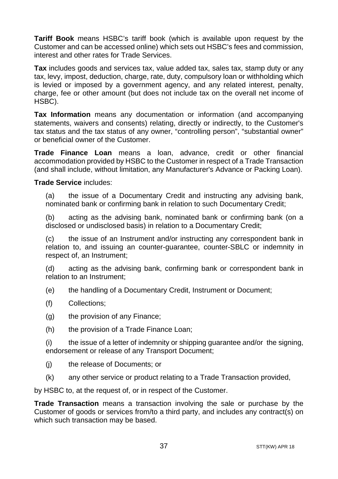**Tariff Book** means HSBC's tariff book (which is available upon request by the Customer and can be accessed online) which sets out HSBC's fees and commission, interest and other rates for Trade Services.

**Tax** includes goods and services tax, value added tax, sales tax, stamp duty or any tax, levy, impost, deduction, charge, rate, duty, compulsory loan or withholding which is levied or imposed by a government agency, and any related interest, penalty, charge, fee or other amount (but does not include tax on the overall net income of HSBC).

**Tax Information** means any documentation or information (and accompanying statements, waivers and consents) relating, directly or indirectly, to the Customer's tax status and the tax status of any owner, "controlling person", "substantial owner" or beneficial owner of the Customer.

**Trade Finance Loan** means a loan, advance, credit or other financial accommodation provided by HSBC to the Customer in respect of a Trade Transaction (and shall include, without limitation, any Manufacturer's Advance or Packing Loan).

#### **Trade Service** includes:

(a) the issue of a Documentary Credit and instructing any advising bank, nominated bank or confirming bank in relation to such Documentary Credit;

(b) acting as the advising bank, nominated bank or confirming bank (on a disclosed or undisclosed basis) in relation to a Documentary Credit;

(c) the issue of an Instrument and/or instructing any correspondent bank in relation to, and issuing an counter-guarantee, counter-SBLC or indemnity in respect of, an Instrument;

(d) acting as the advising bank, confirming bank or correspondent bank in relation to an Instrument;

- (e) the handling of a Documentary Credit, Instrument or Document;
- (f) Collections;
- (g) the provision of any Finance;
- (h) the provision of a Trade Finance Loan;

(i) the issue of a letter of indemnity or shipping guarantee and/or the signing, endorsement or release of any Transport Document;

- (j) the release of Documents; or
- (k) any other service or product relating to a Trade Transaction provided,

by HSBC to, at the request of, or in respect of the Customer.

**Trade Transaction** means a transaction involving the sale or purchase by the Customer of goods or services from/to a third party, and includes any contract(s) on which such transaction may be based.